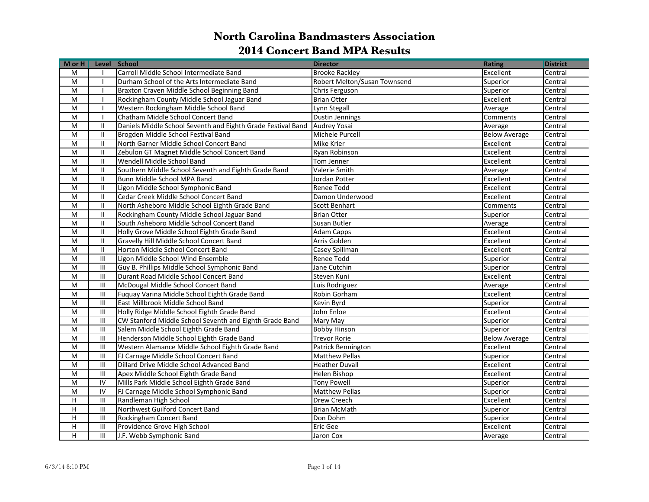| M or H                    |                                    | Level School                                                 | <b>Director</b>              | <b>Rating</b>        | <b>District</b> |
|---------------------------|------------------------------------|--------------------------------------------------------------|------------------------------|----------------------|-----------------|
| M                         |                                    | Carroll Middle School Intermediate Band                      | <b>Brooke Rackley</b>        | Excellent            | Central         |
| M                         | $\mathbf{I}$                       | Durham School of the Arts Intermediate Band                  | Robert Melton/Susan Townsend | Superior             | Central         |
| M                         | $\mathbf{I}$                       | Braxton Craven Middle School Beginning Band                  | Chris Ferguson               | Superior             | Central         |
| M                         |                                    | Rockingham County Middle School Jaguar Band                  | <b>Brian Otter</b>           | Excellent            | Central         |
| M                         |                                    | Western Rockingham Middle School Band                        | Lynn Stegall                 | Average              | Central         |
| M                         | $\mathbf{I}$                       | Chatham Middle School Concert Band                           | Dustin Jennings              | Comments             | Central         |
| M                         | $\mathbf{II}$                      | Daniels Middle School Seventh and Eighth Grade Festival Band | Audrey Yosai                 | Average              | Central         |
| M                         | $\mathbf{II}$                      | Brogden Middle School Festival Band                          | Michele Purcell              | <b>Below Average</b> | Central         |
| M                         | $\mathbf{I}$                       | North Garner Middle School Concert Band                      | Mike Krier                   | Excellent            | Central         |
| M                         | $\mathbf{II}$                      | Zebulon GT Magnet Middle School Concert Band                 | Ryan Robinson                | Excellent            | Central         |
| M                         | $\mathbf{II}$                      | Wendell Middle School Band                                   | Tom Jenner                   | Excellent            | Central         |
| M                         | $\mathbf{II}$                      | Southern Middle School Seventh and Eighth Grade Band         | Valerie Smith                | Average              | Central         |
| M                         | $\mathbf{II}$                      | Bunn Middle School MPA Band                                  | Jordan Potter                | Excellent            | Central         |
| M                         | $\mathbf{II}$                      | Ligon Middle School Symphonic Band                           | Renee Todd                   | Excellent            | Central         |
| M                         | $\mathbf{II}$                      | Cedar Creek Middle School Concert Band                       | Damon Underwood              | Excellent            | Central         |
| M                         | $\mathbf{I}$                       | North Asheboro Middle School Eighth Grade Band               | <b>Scott Benhart</b>         | Comments             | Central         |
| ${\sf M}$                 | $\mathbf{II}$                      | Rockingham County Middle School Jaguar Band                  | Brian Otter                  | Superior             | Central         |
| M                         | $\mathbf{II}$                      | South Asheboro Middle School Concert Band                    | Susan Butler                 | Average              | Central         |
| M                         | $\mathbf{II}$                      | Holly Grove Middle School Eighth Grade Band                  | Adam Capps                   | Excellent            | Central         |
| M                         | $\mathbf{II}$                      | Gravelly Hill Middle School Concert Band                     | Arris Golden                 | Excellent            | Central         |
| M                         | $\mathbf{II}$                      | Horton Middle School Concert Band                            | Casey Spillman               | Excellent            | Central         |
| M                         | $\mathbf{III}$                     | Ligon Middle School Wind Ensemble                            | Renee Todd                   | Superior             | Central         |
| M                         | $\mathbf{III}$                     | Guy B. Phillips Middle School Symphonic Band                 | Jane Cutchin                 | Superior             | Central         |
| M                         | $\mathbf{III}$                     | Durant Road Middle School Concert Band                       | Steven Kuni                  | Excellent            | Central         |
| M                         | $\ensuremath{\mathsf{III}}\xspace$ | McDougal Middle School Concert Band                          | Luis Rodriguez               | Average              | Central         |
| M                         | $\ensuremath{\mathsf{III}}\xspace$ | Fuquay Varina Middle School Eighth Grade Band                | Robin Gorham                 | Excellent            | Central         |
| M                         | $\mathbf{III}$                     | East Millbrook Middle School Band                            | Kevin Byrd                   | Superior             | Central         |
| M                         | $\mathbf{III}$                     | Holly Ridge Middle School Eighth Grade Band                  | John Enloe                   | Excellent            | Central         |
| M                         | III                                | CW Stanford Middle School Seventh and Eighth Grade Band      | Mary May                     | Superior             | Central         |
| M                         | $\mathbf{III}$                     | Salem Middle School Eighth Grade Band                        | <b>Bobby Hinson</b>          | Superior             | Central         |
| M                         | $\mathbf{III}$                     | Henderson Middle School Eighth Grade Band                    | <b>Trevor Rorie</b>          | <b>Below Average</b> | Central         |
| M                         | $\mathbf{III}$                     | Western Alamance Middle School Eighth Grade Band             | Patrick Bennington           | Excellent            | Central         |
| M                         | $\mathbf{III}$                     | FJ Carnage Middle School Concert Band                        | <b>Matthew Pellas</b>        | Superior             | Central         |
| M                         | $\mathbf{III}$                     | Dillard Drive Middle School Advanced Band                    | <b>Heather Duvall</b>        | Excellent            | Central         |
| M                         | $\mathbf{III}$                     | Apex Middle School Eighth Grade Band                         | Helen Bishop                 | Excellent            | Central         |
| M                         | IV                                 | Mills Park Middle School Eighth Grade Band                   | <b>Tony Powell</b>           | Superior             | Central         |
| M                         | IV                                 | FJ Carnage Middle School Symphonic Band                      | <b>Matthew Pellas</b>        | Superior             | Central         |
| $\mathsf H$               | $\mathbf{III}$                     | Randleman High School                                        | Drew Creech                  | Excellent            | Central         |
| Н                         | $\ensuremath{\mathsf{III}}\xspace$ | Northwest Guilford Concert Band                              | <b>Brian McMath</b>          | Superior             | Central         |
| H                         | $\mathbf{III}$                     | Rockingham Concert Band                                      | Don Dohm                     | Superior             | Central         |
| $\boldsymbol{\mathsf{H}}$ | $\mathbf{III}$                     | Providence Grove High School                                 | Eric Gee                     | Excellent            | Central         |
| Н                         | Ш                                  | J.F. Webb Symphonic Band                                     | Jaron Cox                    | Average              | Central         |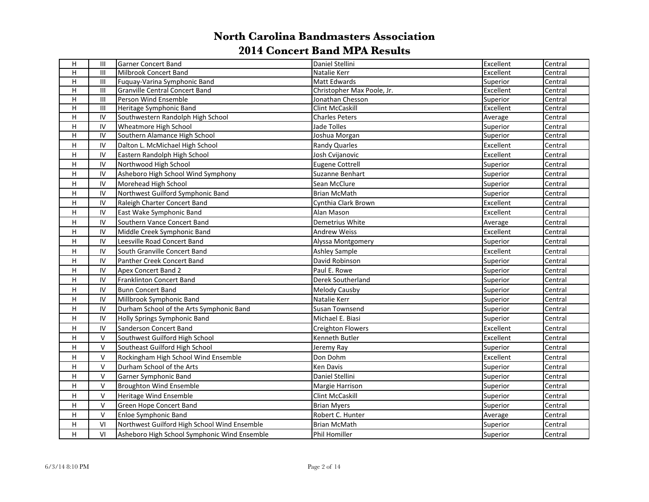| H                       | Ш              | Garner Concert Band                          | Daniel Stellini            | Excellent | Central |
|-------------------------|----------------|----------------------------------------------|----------------------------|-----------|---------|
| H                       | $\mathbf{III}$ | Milbrook Concert Band                        | Natalie Kerr               | Excellent | Central |
| н                       | $\mathbf{III}$ | Fuquay-Varina Symphonic Band                 | Matt Edwards               | Superior  | Central |
| H                       | $\mathbf{III}$ | Granville Central Concert Band               | Christopher Max Poole, Jr. | Excellent | Central |
| H                       | $\mathbf{III}$ | Person Wind Ensemble                         | Jonathan Chesson           | Superior  | Central |
| $\overline{H}$          | $\mathbf{III}$ | Heritage Symphonic Band                      | Clint McCaskill            | Excellent | Central |
| н                       | IV             | Southwestern Randolph High School            | <b>Charles Peters</b>      | Average   | Central |
| H                       | IV             | <b>Wheatmore High School</b>                 | Jade Tolles                | Superior  | Central |
| H                       | IV             | Southern Alamance High School                | Joshua Morgan              | Superior  | Central |
| H                       | IV             | Dalton L. McMichael High School              | Randy Quarles              | Excellent | Central |
| H                       | ${\sf IV}$     | Eastern Randolph High School                 | Josh Cvijanovic            | Excellent | Central |
| Н                       | ${\sf IV}$     | Northwood High School                        | <b>Eugene Cottrell</b>     | Superior  | Central |
| н                       | IV             | Asheboro High School Wind Symphony           | Suzanne Benhart            | Superior  | Central |
| H                       | IV             | Morehead High School                         | Sean McClure               | Superior  | Central |
| н                       | IV             | Northwest Guilford Symphonic Band            | <b>Brian McMath</b>        | Superior  | Central |
| H                       | IV             | Raleigh Charter Concert Band                 | Cynthia Clark Brown        | Excellent | Central |
| н                       | IV             | East Wake Symphonic Band                     | Alan Mason                 | Excellent | Central |
| H                       | IV             | Southern Vance Concert Band                  | Demetrius White            | Average   | Central |
| H                       | ${\sf IV}$     | Middle Creek Symphonic Band                  | <b>Andrew Weiss</b>        | Excellent | Central |
| H                       | IV             | Leesville Road Concert Band                  | Alyssa Montgomery          | Superior  | Central |
| H                       | IV             | South Granville Concert Band                 | <b>Ashley Sample</b>       | Excellent | Central |
| H                       | IV             | Panther Creek Concert Band                   | David Robinson             | Superior  | Central |
| H                       | IV             | Apex Concert Band 2                          | Paul E. Rowe               | Superior  | Central |
| H                       | IV             | Franklinton Concert Band                     | Derek Southerland          | Superior  | Central |
| H                       | IV             | <b>Bunn Concert Band</b>                     | Melody Causby              | Superior  | Central |
| H                       | IV             | Millbrook Symphonic Band                     | Natalie Kerr               | Superior  | Central |
| H                       | IV             | Durham School of the Arts Symphonic Band     | Susan Townsend             | Superior  | Central |
| н                       | IV             | Holly Springs Symphonic Band                 | Michael E. Biasi           | Superior  | Central |
| н                       | IV             | Sanderson Concert Band                       | <b>Creighton Flowers</b>   | Excellent | Central |
| $\overline{\mathsf{H}}$ | $\vee$         | Southwest Guilford High School               | Kenneth Butler             | Excellent | Central |
| H                       | $\mathsf{V}$   | Southeast Guilford High School               | Jeremy Ray                 | Superior  | Central |
| H                       | $\mathsf{V}$   | Rockingham High School Wind Ensemble         | Don Dohm                   | Excellent | Central |
| H                       | $\vee$         | Durham School of the Arts                    | Ken Davis                  | Superior  | Central |
| H                       | $\vee$         | Garner Symphonic Band                        | Daniel Stellini            | Superior  | Central |
| H                       | $\vee$         | <b>Broughton Wind Ensemble</b>               | Margie Harrison            | Superior  | Central |
| н                       | $\vee$         | Heritage Wind Ensemble                       | Clint McCaskill            | Superior  | Central |
| H                       | $\vee$         | Green Hope Concert Band                      | <b>Brian Myers</b>         | Superior  | Central |
| H                       | $\vee$         | Enloe Symphonic Band                         | Robert C. Hunter           | Average   | Central |
| н                       | VI             | Northwest Guilford High School Wind Ensemble | <b>Brian McMath</b>        | Superior  | Central |
| H                       | VI             | Asheboro High School Symphonic Wind Ensemble | Phil Homiller              | Superior  | Central |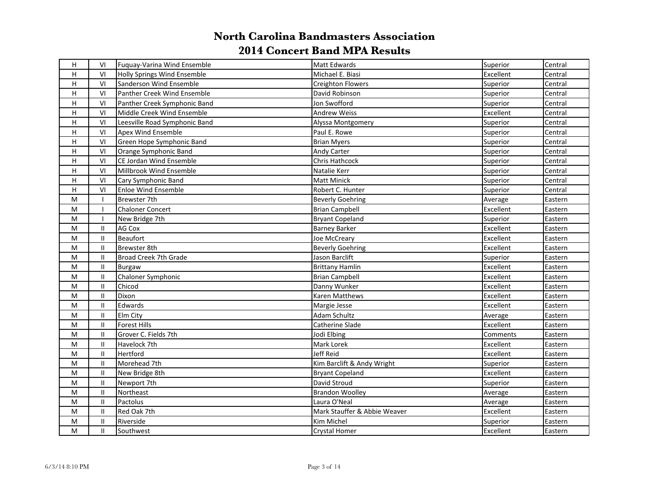| H            | VI                         | Fuguay-Varina Wind Ensemble   | Matt Edwards                 | Superior  | Central |
|--------------|----------------------------|-------------------------------|------------------------------|-----------|---------|
| н            | VI                         | Holly Springs Wind Ensemble   | Michael E. Biasi             | Excellent | Central |
| $\mathsf{H}$ | VI                         | Sanderson Wind Ensemble       | Creighton Flowers            | Superior  | Central |
| Н            | VI                         | Panther Creek Wind Ensemble   | David Robinson               | Superior  | Central |
| н            | VI                         | Panther Creek Symphonic Band  | Jon Swofford                 | Superior  | Central |
| H            | VI                         | Middle Creek Wind Ensemble    | <b>Andrew Weiss</b>          | Excellent | Central |
| H            | VI                         | Leesville Road Symphonic Band | Alyssa Montgomery            | Superior  | Central |
| Н            | VI                         | Apex Wind Ensemble            | Paul E. Rowe                 | Superior  | Central |
| H            | VI                         | Green Hope Symphonic Band     | <b>Brian Myers</b>           | Superior  | Central |
| H            | VI                         | Orange Symphonic Band         | Andy Carter                  | Superior  | Central |
| H            | VI                         | CE Jordan Wind Ensemble       | Chris Hathcock               | Superior  | Central |
| H            | VI                         | Millbrook Wind Ensemble       | Natalie Kerr                 | Superior  | Central |
| н            | VI                         | Cary Symphonic Band           | <b>Matt Minick</b>           | Superior  | Central |
| Н            | VI                         | <b>Enloe Wind Ensemble</b>    | Robert C. Hunter             | Superior  | Central |
| M            |                            | Brewster 7th                  | <b>Beverly Goehring</b>      | Average   | Eastern |
| M            |                            | <b>Chaloner Concert</b>       | <b>Brian Campbell</b>        | Excellent | Eastern |
| M            | $\mathbf{I}$               | New Bridge 7th                | Bryant Copeland              | Superior  | Eastern |
| M            | II                         | AG Cox                        | <b>Barney Barker</b>         | Excellent | Eastern |
| M            | II                         | <b>Beaufort</b>               | Joe McCreary                 | Excellent | Eastern |
| M            | II.                        | Brewster 8th                  | <b>Beverly Goehring</b>      | Excellent | Eastern |
| M            | $\mathbf{II}$              | Broad Creek 7th Grade         | Jason Barclift               | Superior  | Eastern |
| ${\sf M}$    | Ш                          | Burgaw                        | <b>Brittany Hamlin</b>       | Excellent | Eastern |
| ${\sf M}$    | Ш                          | Chaloner Symphonic            | <b>Brian Campbell</b>        | Excellent | Eastern |
| M            | $\mathbf{H}$               | Chicod                        | Danny Wunker                 | Excellent | Eastern |
| M            | $\mathbf{H}$               | Dixon                         | Karen Matthews               | Excellent | Eastern |
| M            | $\mathbf{H}$               | Edwards                       | Margie Jesse                 | Excellent | Eastern |
| M            | $\sf II$                   | Elm City                      | Adam Schultz                 | Average   | Eastern |
| M            | $\ensuremath{\mathsf{II}}$ | Forest Hills                  | Catherine Slade              | Excellent | Eastern |
| M            | II.                        | Grover C. Fields 7th          | Jodi Elbing                  | Comments  | Eastern |
| M            | II.                        | Havelock 7th                  | Mark Lorek                   | Excellent | Eastern |
| ${\sf M}$    | II.                        | Hertford                      | <b>Jeff Reid</b>             | Excellent | Eastern |
| M            | Ш                          | Morehead 7th                  | Kim Barclift & Andy Wright   | Superior  | Eastern |
| M            | Ш                          | New Bridge 8th                | <b>Bryant Copeland</b>       | Excellent | Eastern |
| M            | Ш                          | Newport 7th                   | David Stroud                 | Superior  | Eastern |
| М            | Ш                          | Northeast                     | <b>Brandon Woolley</b>       | Average   | Eastern |
| M            | II                         | Pactolus                      | Laura O'Neal                 | Average   | Eastern |
| M            | Ш                          | Red Oak 7th                   | Mark Stauffer & Abbie Weaver | Excellent | Eastern |
| M            | II                         | Riverside                     | Kim Michel                   | Superior  | Eastern |
| M            | П.                         | <b>Southwest</b>              | <b>Crystal Homer</b>         | Excellent | Eastern |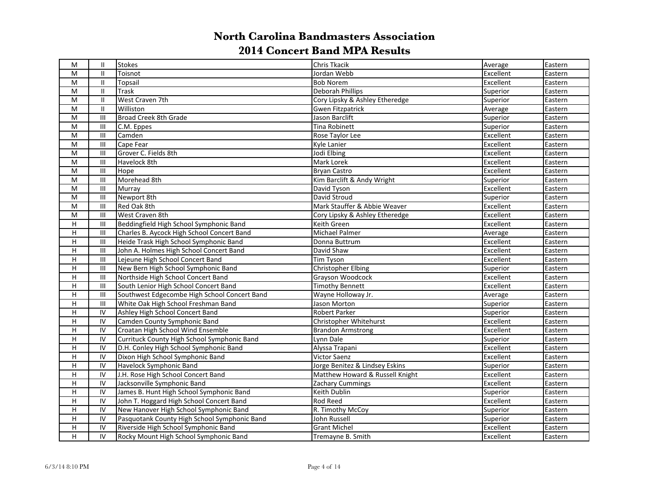| M              | $\mathbf{II}$                      | Stokes                                       | Chris Tkacik                    | Average   | Eastern |
|----------------|------------------------------------|----------------------------------------------|---------------------------------|-----------|---------|
| M              | $\mathbf{II}$                      | Toisnot                                      | Jordan Webb                     | Excellent | Eastern |
| M              | $\mathbf{II}$                      | Topsail                                      | <b>Bob Norem</b>                | Excellent | Eastern |
| ${\sf M}$      | Ш                                  | <b>Trask</b>                                 | Deborah Phillips                | Superior  | Eastern |
| ${\sf M}$      | II                                 | West Craven 7th                              | Cory Lipsky & Ashley Etheredge  | Superior  | Eastern |
| M              | $\mathbf{H}$                       | Williston                                    | <b>Gwen Fitzpatrick</b>         | Average   | Eastern |
| ${\sf M}$      | $\mathbf{III}$                     | Broad Creek 8th Grade                        | Jason Barclift                  | Superior  | Eastern |
| M              | $\mathbf{III}$                     | C.M. Eppes                                   | Tina Robinett                   | Superior  | Eastern |
| ${\sf M}$      | Ш                                  | Camden                                       | Rose Taylor Lee                 | Excellent | Eastern |
| M              | Ш                                  | Cape Fear                                    | Kyle Lanier                     | Excellent | Eastern |
| ${\sf M}$      | $\ensuremath{\mathsf{III}}\xspace$ | Grover C. Fields 8th                         | Jodi Elbing                     | Excellent | Eastern |
| ${\sf M}$      | $\ensuremath{\mathsf{III}}\xspace$ | Havelock 8th                                 | Mark Lorek                      | Excellent | Eastern |
| ${\sf M}$      | Ш                                  | Hope                                         | Bryan Castro                    | Excellent | Eastern |
| ${\sf M}$      | $\ensuremath{\mathsf{III}}\xspace$ | Morehead 8th                                 | Kim Barclift & Andy Wright      | Superior  | Eastern |
| ${\sf M}$      | $\ensuremath{\mathsf{III}}\xspace$ | Murray                                       | David Tyson                     | Excellent | Eastern |
| ${\sf M}$      | $\ensuremath{\mathsf{III}}\xspace$ | Newport 8th                                  | David Stroud                    | Superior  | Eastern |
| M              | III                                | Red Oak 8th                                  | Mark Stauffer & Abbie Weaver    | Excellent | Eastern |
| M              | III                                | West Craven 8th                              | Cory Lipsky & Ashley Etheredge  | Excellent | Eastern |
| Н              | $\ensuremath{\mathsf{III}}\xspace$ | Beddingfield High School Symphonic Band      | Keith Green                     | Excellent | Eastern |
| H              | $\ensuremath{\mathsf{III}}\xspace$ | Charles B. Aycock High School Concert Band   | Michael Palmer                  | Average   | Eastern |
| $\overline{H}$ | $\ensuremath{\mathsf{III}}\xspace$ | Heide Trask High School Symphonic Band       | Donna Buttrum                   | Excellent | Eastern |
| H              | $\ensuremath{\mathsf{III}}\xspace$ | John A. Holmes High School Concert Band      | David Shaw                      | Excellent | Eastern |
| $\overline{H}$ | $\ensuremath{\mathsf{III}}\xspace$ | Lejeune High School Concert Band             | <b>Tim Tyson</b>                | Excellent | Eastern |
| H              | Ш                                  | New Bern High School Symphonic Band          | Christopher Elbing              | Superior  | Eastern |
| $\overline{H}$ | $\mathbf{III}$                     | Northside High School Concert Band           | Grayson Woodcock                | Excellent | Eastern |
| H              | III                                | South Lenior High School Concert Band        | <b>Timothy Bennett</b>          | Excellent | Eastern |
| $\overline{H}$ | $\ensuremath{\mathsf{III}}\xspace$ | Southwest Edgecombe High School Concert Band | Wayne Holloway Jr.              | Average   | Eastern |
| $\overline{H}$ | $\ensuremath{\mathsf{III}}\xspace$ | White Oak High School Freshman Band          | Jason Morton                    | Superior  | Eastern |
| H              | IV                                 | Ashley High School Concert Band              | <b>Robert Parker</b>            | Superior  | Eastern |
| H              | IV                                 | Camden County Symphonic Band                 | Christopher Whitehurst          | Excellent | Eastern |
| H              | IV                                 | Croatan High School Wind Ensemble            | <b>Brandon Armstrong</b>        | Excellent | Eastern |
| H              | IV                                 | Currituck County High School Symphonic Band  | Lynn Dale                       | Superior  | Eastern |
| H              | IV                                 | D.H. Conley High School Symphonic Band       | Alyssa Trapani                  | Excellent | Eastern |
| H              | IV                                 | Dixon High School Symphonic Band             | <b>Victor Saenz</b>             | Excellent | Eastern |
| H              | IV                                 | Havelock Symphonic Band                      | Jorge Benitez & Lindsey Eskins  | Superior  | Eastern |
| H              | $\overline{N}$                     | J.H. Rose High School Concert Band           | Matthew Howard & Russell Knight | Excellent | Eastern |
| H              | IV                                 | Jacksonville Symphonic Band                  | Zachary Cummings                | Excellent | Eastern |
| H              | IV                                 | James B. Hunt High School Symphonic Band     | Keith Dublin                    | Superior  | Eastern |
| H              | IV                                 | John T. Hoggard High School Concert Band     | Rod Reed                        | Excellent | Eastern |
| $\overline{H}$ | IV                                 | New Hanover High School Symphonic Band       | R. Timothy McCoy                | Superior  | Eastern |
| H              | IV                                 | Pasquotank County High School Symphonic Band | John Russell                    | Superior  | Eastern |
| H              | IV                                 | Riverside High School Symphonic Band         | <b>Grant Michel</b>             | Excellent | Eastern |
| H              | IV                                 | Rocky Mount High School Symphonic Band       | Tremayne B. Smith               | Excellent | Eastern |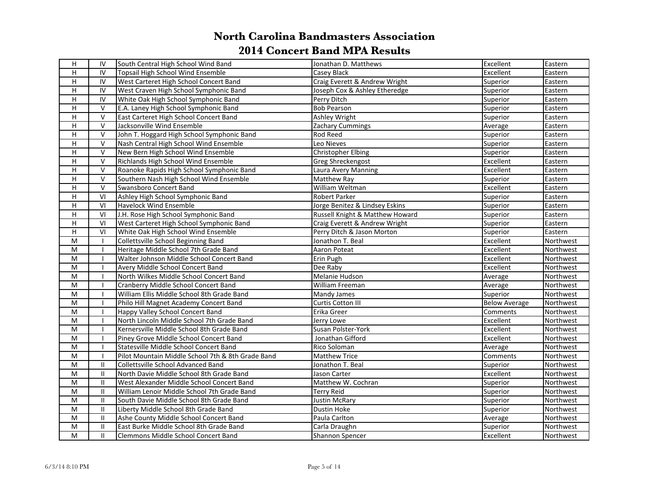| H                         | IV            | South Central High School Wind Band               | Jonathan D. Matthews            | Excellent            | Eastern   |
|---------------------------|---------------|---------------------------------------------------|---------------------------------|----------------------|-----------|
| H.                        | IV            | Topsail High School Wind Ensemble                 | Casey Black                     | Excellent            | Eastern   |
| н                         | IV            | West Carteret High School Concert Band            | Craig Everett & Andrew Wright   | Superior             | Eastern   |
| $\boldsymbol{\mathsf{H}}$ | IV            | West Craven High School Symphonic Band            | Joseph Cox & Ashley Etheredge   | Superior             | Eastern   |
| н                         | IV            | White Oak High School Symphonic Band              | Perry Ditch                     | Superior             | Eastern   |
| H                         | $\vee$        | E.A. Laney High School Symphonic Band             | <b>Bob Pearson</b>              | Superior             | Eastern   |
| н                         | $\mathsf{V}$  | East Carteret High School Concert Band            | Ashley Wright                   | Superior             | Eastern   |
| $\mathsf H$               | $\vee$        | Jacksonville Wind Ensemble                        | Zachary Cummings                | Average              | Eastern   |
| H                         | $\mathsf{V}$  | John T. Hoggard High School Symphonic Band        | Rod Reed                        | Superior             | Eastern   |
| $\boldsymbol{\mathsf{H}}$ | $\mathsf{V}$  | Nash Central High School Wind Ensemble            | Leo Nieves                      | Superior             | Eastern   |
| H                         | $\vee$        | New Bern High School Wind Ensemble                | <b>Christopher Elbing</b>       | Superior             | Eastern   |
| $\boldsymbol{\mathsf{H}}$ | $\vee$        | Richlands High School Wind Ensemble               | Greg Shreckengost               | Excellent            | Eastern   |
| H                         | $\vee$        | Roanoke Rapids High School Symphonic Band         | Laura Avery Manning             | Excellent            | Eastern   |
| $\mathsf H$               | V             | Southern Nash High School Wind Ensemble           | <b>Matthew Ray</b>              | Superior             | Eastern   |
| $\mathsf H$               | $\vee$        | Swansboro Concert Band                            | William Weltman                 | Excellent            | Eastern   |
| $\overline{H}$            | VI            | Ashley High School Symphonic Band                 | Robert Parker                   | Superior             | Eastern   |
| H                         | VI            | <b>Havelock Wind Ensemble</b>                     | Jorge Benitez & Lindsey Eskins  | Superior             | Eastern   |
| $\overline{H}$            | VI            | J.H. Rose High School Symphonic Band              | Russell Knight & Matthew Howard | Superior             | Eastern   |
| $\overline{H}$            | VI            | West Carteret High School Symphonic Band          | Craig Everett & Andrew Wright   | Superior             | Eastern   |
| $\mathsf H$               | VI            | White Oak High School Wind Ensemble               | Perry Ditch & Jason Morton      | Superior             | Eastern   |
| M                         | $\mathbf{I}$  | Collettsville School Beginning Band               | Jonathon T. Beal                | Excellent            | Northwest |
| M                         | $\mathbf{I}$  | Heritage Middle School 7th Grade Band             | Aaron Poteat                    | Excellent            | Northwest |
| M                         | $\mathbf{I}$  | Walter Johnson Middle School Concert Band         | Erin Pugh                       | Excellent            | Northwest |
| ${\sf M}$                 |               | Avery Middle School Concert Band                  | Dee Raby                        | Excellent            | Northwest |
| ${\sf M}$                 | $\mathbf{I}$  | North Wilkes Middle School Concert Band           | Melanie Hudson                  | Average              | Northwest |
| ${\sf M}$                 |               | Cranberry Middle School Concert Band              | William Freeman                 | Average              | Northwest |
| ${\sf M}$                 |               | William Ellis Middle School 8th Grade Band        | Mandy James                     | Superior             | Northwest |
| M                         |               | Philo Hill Magnet Academy Concert Band            | Curtis Cotton III               | <b>Below Average</b> | Northwest |
| ${\sf M}$                 | $\mathbf{I}$  | Happy Valley School Concert Band                  | Erika Greer                     | Comments             | Northwest |
| M                         |               | North Lincoln Middle School 7th Grade Band        | Jerry Lowe                      | Excellent            | Northwest |
| M                         |               | Kernersville Middle School 8th Grade Band         | Susan Polster-York              | Excellent            | Northwest |
| M                         |               | Piney Grove Middle School Concert Band            | Jonathan Gifford                | Excellent            | Northwest |
| M                         | $\mathbf{I}$  | Statesville Middle School Concert Band            | Rico Soloman                    | Average              | Northwest |
| M                         | $\mathbf{I}$  | Pilot Mountain Middle School 7th & 8th Grade Band | <b>Matthew Trice</b>            | Comments             | Northwest |
| M                         | $\mathbf{II}$ | Collettsville School Advanced Band                | Jonathon T. Beal                | Superior             | Northwest |
| M                         | $\mathbf{II}$ | North Davie Middle School 8th Grade Band          | Jason Carter                    | Excellent            | Northwest |
| M                         | $\mathbf{II}$ | West Alexander Middle School Concert Band         | Matthew W. Cochran              | Superior             | Northwest |
| ${\sf M}$                 | $\mathbf{II}$ | William Lenoir Middle School 7th Grade Band       | Terry Reid                      | Superior             | Northwest |
| ${\sf M}$                 | $\mathbf{II}$ | South Davie Middle School 8th Grade Band          | <b>Justin McRary</b>            | Superior             | Northwest |
| M                         | $\mathbf{II}$ | Liberty Middle School 8th Grade Band              | <b>Dustin Hoke</b>              | Superior             | Northwest |
| M                         | $\mathbf{II}$ | Ashe County Middle School Concert Band            | Paula Carlton                   | Average              | Northwest |
| M                         | $\mathbf{II}$ | East Burke Middle School 8th Grade Band           | Carla Draughn                   | Superior             | Northwest |
| M                         | $\mathbf{II}$ | <b>Clemmons Middle School Concert Band</b>        | Shannon Spencer                 | Excellent            | Northwest |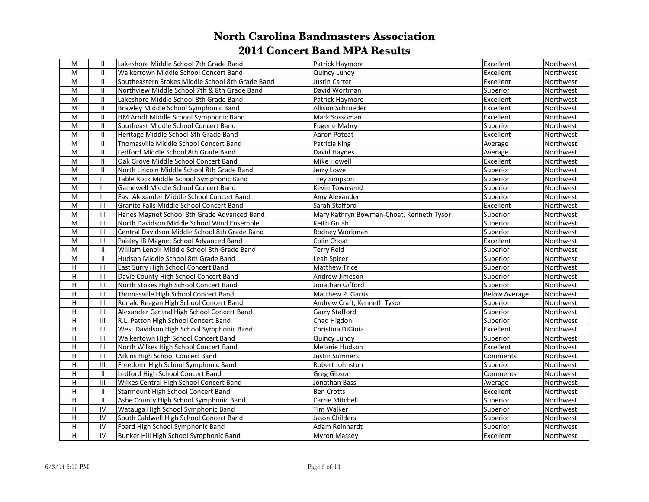| M              | Ш              | Lakeshore Middle School 7th Grade Band           | Patrick Haymore                          | Excellent            | Northwest |
|----------------|----------------|--------------------------------------------------|------------------------------------------|----------------------|-----------|
| M              | $\mathbf{H}$   | Walkertown Middle School Concert Band            | Quincy Lundy                             | Excellent            | Northwest |
| M              | $\mathbf{II}$  | Southeastern Stokes Middle School 8th Grade Band | Justin Carter                            | Excellent            | Northwest |
| M              | $\mathbf{II}$  | Northview Middle School 7th & 8th Grade Band     | David Wortman                            | Superior             | Northwest |
| M              | $\mathbf{II}$  | Lakeshore Middle School 8th Grade Band           | Patrick Haymore                          | Excellent            | Northwest |
| M              | $\mathbf{H}$   | Brawley Middle School Symphonic Band             | Allison Schroeder                        | Excellent            | Northwest |
| M              | $\mathbf{II}$  | HM Arndt Middle School Symphonic Band            | Mark Sossoman                            | Excellent            | Northwest |
| M              | $\mathbf{II}$  | Southeast Middle School Concert Band             | Eugene Mabry                             | Superior             | Northwest |
| M              | $\mathbf{H}$   | Heritage Middle School 8th Grade Band            | Aaron Poteat                             | Excellent            | Northwest |
| M              | $\mathbf{II}$  | Thomasville Middle School Concert Band           | Patricia King                            | Average              | Northwest |
| ${\sf M}$      | $\mathbf{H}$   | Ledford Middle School 8th Grade Band             | David Haynes                             | Average              | Northwest |
| M              | $\mathbf{II}$  | Oak Grove Middle School Concert Band             | Mike Howell                              | Excellent            | Northwest |
| M              | $\mathbf{H}$   | North Lincoln Middle School 8th Grade Band       | Jerry Lowe                               | Superior             | Northwest |
| M              | $\mathbf{II}$  | Table Rock Middle School Symphonic Band          | <b>Trey Simpson</b>                      | Superior             | Northwest |
| M              | $\mathbf{II}$  | Gamewell Middle School Concert Band              | <b>Kevin Townsend</b>                    | Superior             | Northwest |
| M              | $\mathbf{II}$  | East Alexander Middle School Concert Band        | Amy Alexander                            | Superior             | Northwest |
| M              | $\mathbf{III}$ | Granite Falls Middle School Concert Band         | Sarah Stafford                           | Excellent            | Northwest |
| ${\sf M}$      | $\mathbf{III}$ | Hanes Magnet School 8th Grade Advanced Band      | Mary Kathryn Bowman-Choat, Kenneth Tysor | Superior             | Northwest |
| M              | $\mathbf{III}$ | North Davidson Middle School Wind Ensemble       | Keith Grush                              | Superior             | Northwest |
| M              | $\mathbf{III}$ | Central Davidson Middle School 8th Grade Band    | Rodney Workman                           | Superior             | Northwest |
| M              | $\mathbf{III}$ | Paisley IB Magnet School Advanced Band           | Colin Choat                              | Excellent            | Northwest |
| M              | III            | William Lenoir Middle School 8th Grade Band      | <b>Terry Reid</b>                        | Superior             | Northwest |
| M              | III            | Hudson Middle School 8th Grade Band              | Leah Spicer                              | Superior             | Northwest |
| H              | $\mathbf{III}$ | East Surry High School Concert Band              | <b>Matthew Trice</b>                     | Superior             | Northwest |
| H              | $\mathbf{III}$ | Davie County High School Concert Band            | Andrew Jimeson                           | Superior             | Northwest |
| H              | $\mathbf{III}$ | North Stokes High School Concert Band            | Jonathan Gifford                         | Superior             | Northwest |
| H              | $\mathbf{III}$ | Thomasville High School Concert Band             | Matthew P. Garris                        | <b>Below Average</b> | Northwest |
| H              | $\mathbf{III}$ | Ronald Reagan High School Concert Band           | Andrew Craft, Kenneth Tysor              | Superior             | Northwest |
| H              | $\mathbf{III}$ | Alexander Central High School Concert Band       | Garry Stafford                           | Superior             | Northwest |
| H              | III            | R.L. Patton High School Concert Band             | Chad Higdon                              | Superior             | Northwest |
| H              | $\mathbf{III}$ | West Davidson High School Symphonic Band         | Christina DiGioia                        | Excellent            | Northwest |
| $\overline{H}$ | $\mathbf{III}$ | Walkertown High School Concert Band              | Quincy Lundy                             | Superior             | Northwest |
| H              | $\mathbf{III}$ | North Wilkes High School Concert Band            | Melanie Hudson                           | Excellent            | Northwest |
| H              | $\mathbf{III}$ | Atkins High School Concert Band                  | Justin Sumners                           | Comments             | Northwest |
| H              | $\mathbf{III}$ | Freedom High School Symphonic Band               | Robert Johnston                          | Superior             | Northwest |
| H              | III            | Ledford High School Concert Band                 | Greg Gibson                              | Comments             | Northwest |
| H              | III            | Wilkes Central High School Concert Band          | Jonathan Bass                            | Average              | Northwest |
| H              | III            | Starmount High School Concert Band               | <b>Ben Crotts</b>                        | Excellent            | Northwest |
| H              | Ш              | Ashe County High School Symphonic Band           | Carrie Mitchell                          | Superior             | Northwest |
| H              | IV             | Watauga High School Symphonic Band               | <b>Tim Walker</b>                        | Superior             | Northwest |
| H              | IV             | South Caldwell High School Concert Band          | Jason Childers                           | Superior             | Northwest |
| H              | IV             | Foard High School Symphonic Band                 | Adam Reinhardt                           | Superior             | Northwest |
| H              | IV             | Bunker Hill High School Symphonic Band           | <b>Myron Massey</b>                      | Excellent            | Northwest |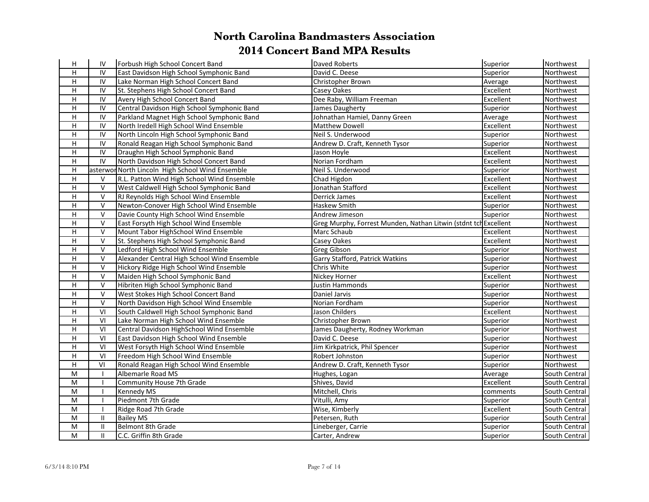| H                         | IV             | Forbush High School Concert Band                 | Daved Roberts                                                   | Superior  | Northwest     |
|---------------------------|----------------|--------------------------------------------------|-----------------------------------------------------------------|-----------|---------------|
| H                         | IV             | East Davidson High School Symphonic Band         | David C. Deese                                                  | Superior  | Northwest     |
| н                         | IV             | Lake Norman High School Concert Band             | Christopher Brown                                               | Average   | Northwest     |
| $\boldsymbol{\mathsf{H}}$ | IV             | St. Stephens High School Concert Band            | Casey Oakes                                                     | Excellent | Northwest     |
| н                         | IV             | Avery High School Concert Band                   | Dee Raby, William Freeman                                       | Excellent | Northwest     |
| $\mathsf H$               | IV             | Central Davidson High School Symphonic Band      | James Daugherty                                                 | Superior  | Northwest     |
| H                         | IV             | Parkland Magnet High School Symphonic Band       | Johnathan Hamiel, Danny Green                                   | Average   | Northwest     |
| $\mathsf H$               | ${\sf IV}$     | North Iredell High School Wind Ensemble          | Matthew Dowell                                                  | Excellent | Northwest     |
| $\overline{H}$            | $\overline{N}$ | North Lincoln High School Symphonic Band         | Neil S. Underwood                                               | Superior  | Northwest     |
| $\boldsymbol{\mathsf{H}}$ | ${\sf IV}$     | Ronald Reagan High School Symphonic Band         | Andrew D. Craft, Kenneth Tysor                                  | Superior  | Northwest     |
| H                         | ${\sf IV}$     | Draughn High School Symphonic Band               | Jason Hoyle                                                     | Excellent | Northwest     |
| $\boldsymbol{\mathsf{H}}$ | ${\sf IV}$     | North Davidson High School Concert Band          | Norian Fordham                                                  | Excellent | Northwest     |
| $\mathsf H$               |                | asterwor North Lincoln High School Wind Ensemble | Neil S. Underwood                                               | Superior  | Northwest     |
| $\mathsf H$               | V              | R.L. Patton Wind High School Wind Ensemble       | Chad Higdon                                                     | Excellent | Northwest     |
| $\mathsf H$               | $\vee$         | West Caldwell High School Symphonic Band         | Jonathan Stafford                                               | Excellent | Northwest     |
| $\overline{H}$            | $\mathsf{V}$   | RJ Reynolds High School Wind Ensemble            | Derrick James                                                   | Excellent | Northwest     |
| H                         | $\mathsf{V}$   | Newton-Conover High School Wind Ensemble         | Haskew Smith                                                    | Superior  | Northwest     |
| $\overline{H}$            | $\overline{V}$ | Davie County High School Wind Ensemble           | Andrew Jimeson                                                  | Superior  | Northwest     |
| $\overline{H}$            | $\mathsf{V}$   | East Forsyth High School Wind Ensemble           | Greg Murphy, Forrest Munden, Nathan Litwin (stdnt tch Excellent |           | Northwest     |
| $\mathsf H$               | $\mathsf{V}$   | Mount Tabor HighSchool Wind Ensemble             | Marc Schaub                                                     | Excellent | Northwest     |
| $\mathsf H$               | $\mathsf{V}$   | St. Stephens High School Symphonic Band          | Casey Oakes                                                     | Excellent | Northwest     |
| H                         | $\mathsf{V}$   | Ledford High School Wind Ensemble                | <b>Greg Gibson</b>                                              | Superior  | Northwest     |
| $\mathsf H$               | $\vee$         | Alexander Central High School Wind Ensemble      | Garry Stafford, Patrick Watkins                                 | Superior  | Northwest     |
| $\mathsf H$               | $\mathsf{V}$   | Hickory Ridge High School Wind Ensemble          | Chris White                                                     | Superior  | Northwest     |
| $\overline{H}$            | $\vee$         | Maiden High School Symphonic Band                | Nickey Horner                                                   | Excellent | Northwest     |
| H                         | $\mathsf{V}$   | Hibriten High School Symphonic Band              | <b>Justin Hammonds</b>                                          | Superior  | Northwest     |
| H                         | $\mathsf{V}$   | West Stokes High School Concert Band             | Daniel Jarvis                                                   | Superior  | Northwest     |
| $\overline{H}$            | $\vee$         | North Davidson High School Wind Ensemble         | Norian Fordham                                                  | Superior  | Northwest     |
| $\boldsymbol{\mathsf{H}}$ | VI             | South Caldwell High School Symphonic Band        | Jason Childers                                                  | Excellent | Northwest     |
| H                         | VI             | Lake Norman High School Wind Ensemble            | Christopher Brown                                               | Superior  | Northwest     |
| $\overline{H}$            | VI             | Central Davidson HighSchool Wind Ensemble        | James Daugherty, Rodney Workman                                 | Superior  | Northwest     |
| H                         | VI             | East Davidson High School Wind Ensemble          | David C. Deese                                                  | Superior  | Northwest     |
| $\overline{H}$            | VI             | West Forsyth High School Wind Ensemble           | Jim Kirkpatrick, Phil Spencer                                   | Superior  | Northwest     |
| $\overline{H}$            | VI             | Freedom High School Wind Ensemble                | Robert Johnston                                                 | Superior  | Northwest     |
| $\overline{H}$            | $\overline{V}$ | Ronald Reagan High School Wind Ensemble          | Andrew D. Craft, Kenneth Tysor                                  | Superior  | Northwest     |
| M                         |                | Albemarle Road MS                                | Hughes, Logan                                                   | Average   | South Central |
| M                         | $\mathbf{I}$   | Community House 7th Grade                        | Shives, David                                                   | Excellent | South Central |
| ${\sf M}$                 | $\mathbf{I}$   | <b>Kennedy MS</b>                                | Mitchell, Chris                                                 | comments  | South Central |
| ${\sf M}$                 |                | Piedmont 7th Grade                               | Vitulli, Amy                                                    | Superior  | South Central |
| M                         | $\mathbf{I}$   | Ridge Road 7th Grade                             | Wise, Kimberly                                                  | Excellent | South Central |
| M                         | $\mathbf{II}$  | <b>Bailey MS</b>                                 | Petersen, Ruth                                                  | Superior  | South Central |
| ${\sf M}$                 | $\mathbf{II}$  | Belmont 8th Grade                                | Lineberger, Carrie                                              | Superior  | South Central |
| M                         | $\mathbf{II}$  | C.C. Griffin 8th Grade                           | Carter, Andrew                                                  | Superior  | South Central |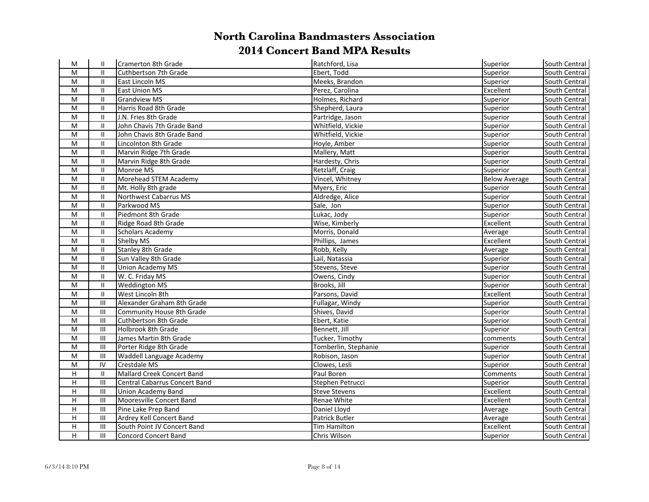| М                       | $\mathbf{H}$                | Cramerton 8th Grade                  | Ratchford, Lisa       | Superior             | South Central |
|-------------------------|-----------------------------|--------------------------------------|-----------------------|----------------------|---------------|
| M                       | Ш                           | Cuthbertson 7th Grade                | Ebert, Todd           | Superior             | South Central |
| M                       | $\mathbf{II}$               | East Lincoln MS                      | Meeks, Brandon        | Superior             | South Central |
| M                       | Ш                           | <b>East Union MS</b>                 | Perez, Carolina       | Excellent            | South Central |
| M                       | $\ensuremath{\mathsf{II}}$  | <b>Grandview MS</b>                  | Holmes, Richard       | Superior             | South Central |
| M                       | Ш                           | Harris Road 8th Grade                | Shepherd, Laura       | Superior             | South Central |
| ${\sf M}$               | Ш                           | J.N. Fries 8th Grade                 | Partridge, Jason      | Superior             | South Central |
| M                       | Ш                           | John Chavis 7th Grade Band           | Whitfield, Vickie     | Superior             | South Central |
| ${\sf M}$               | $\mathbf{H}$                | John Chavis 8th Grade Band           | Whitfield, Vickie     | Superior             | South Central |
| ${\sf M}$               | Ш                           | Lincolnton 8th Grade                 | Hoyle, Amber          | Superior             | South Central |
| M                       | Ш                           | Marvin Ridge 7th Grade               | Mallery, Matt         | Superior             | South Central |
| M                       | $\mathbf{II}$               | Marvin Ridge 8th Grade               | Hardesty, Chris       | Superior             | South Central |
| M                       | $\mathbf{H}$                | Monroe MS                            | Retzlaff, Craig       | Superior             | South Central |
| M                       | Ш                           | Morehead STEM Academy                | Vincel, Whitney       | <b>Below Average</b> | South Central |
| M                       | Ш                           | Mt. Holly 8th grade                  | Myers, Eric           | Superior             | South Central |
| M                       | Ш                           | Northwest Cabarrus MS                | Aldredge, Alice       | Superior             | South Central |
| M                       | $\mathbf{II}$               | Parkwood MS                          | Sale, Jon             | Superior             | South Central |
| M                       | $\mathbf{II}$               | Piedmont 8th Grade                   | Lukac, Jody           | Superior             | South Central |
| M                       | $\mathbf{II}$               | Ridge Road 8th Grade                 | Wise, Kimberly        | Excellent            | South Central |
| M                       | $\mathbf{II}$               | <b>Scholars Academy</b>              | Morris, Donald        | Average              | South Central |
| M                       | $\mathbf{H}$                | Shelby MS                            | Phillips, James       | Excellent            | South Central |
| M                       | $\mathbf{H}$                | Stanley 8th Grade                    | Robb, Kelly           | Average              | South Central |
| M                       | $\mathbf{II}$               | Sun Valley 8th Grade                 | Lail, Natassia        | Superior             | South Central |
| M                       | $\mathbf{II}$               | Union Academy MS                     | Stevens, Steve        | Superior             | South Central |
| M                       | $\mathbf{H}$                | W. C. Friday MS                      | Owens, Cindy          | Superior             | South Central |
| M                       | $\mathsf{II}$               | <b>Weddington MS</b>                 | Brooks, Jill          | Superior             | South Central |
| ${\sf M}$               | Ш                           | West Lincoln 8th                     | Parsons, David        | Excellent            | South Central |
| M                       | $\mathbf{III}$              | Alexander Graham 8th Grade           | Fullagar, Windy       | Superior             | South Central |
| M                       | Ш                           | Community House 8th Grade            | Shives, David         | Superior             | South Central |
| M                       | $\mathbf{III}$              | Cuthbertson 8th Grade                | Ebert, Katie          | Superior             | South Central |
| M                       | $\mathop{\rm III}\nolimits$ | Holbrook 8th Grade                   | Bennett, Jill         | Superior             | South Central |
| M                       | $\mathbf{III}$              | James Martin 8th Grade               | Tucker, Timothy       | comments             | South Central |
| ${\sf M}$               | $\mathop{\rm III}\nolimits$ | Porter Ridge 8th Grade               | Tomberlin, Stephanie  | Superior             | South Central |
| M                       | $\mathop{\rm III}\nolimits$ | Waddell Language Academy             | Robison, Jason        | Superior             | South Central |
| ${\sf M}$               | IV                          | Crestdale MS                         | Clowes, Lesli         | Superior             | South Central |
| H                       | $\mathbf{II}$               | Mallard Creek Concert Band           | Paul Boren            | <b>Comments</b>      | South Central |
| H                       | $\mathop{\rm III}\nolimits$ | <b>Central Cabarrus Concert Band</b> | Stephen Petrucci      | Superior             | South Central |
| H                       | $\mathop{\rm III}\nolimits$ | <b>Union Academy Band</b>            | <b>Steve Stevens</b>  | Excellent            | South Central |
| Н                       | $\mathbf{III}$              | Mooresville Concert Band             | Renae White           | Excellent            | South Central |
| Н                       | $\mathbf{III}$              | Pine Lake Prep Band                  | Daniel Lloyd          | Average              | South Central |
| Н                       | $\mathbf{III}$              | Ardrey Kell Concert Band             | <b>Patrick Butler</b> | Average              | South Central |
| Н                       | $\mathop{\rm III}\nolimits$ | South Point JV Concert Band          | <b>Tim Hamilton</b>   | Excellent            | South Central |
| $\overline{\mathsf{H}}$ | III                         | <b>Concord Concert Band</b>          | Chris Wilson          | Superior             | South Central |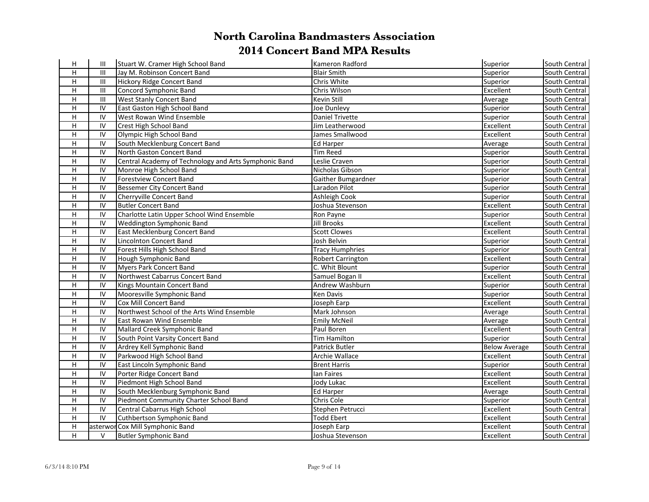| н                         | Ш               | Stuart W. Cramer High School Band                     | Kameron Radford          | Superior             | South Central |
|---------------------------|-----------------|-------------------------------------------------------|--------------------------|----------------------|---------------|
| H                         | Ш               | Jay M. Robinson Concert Band                          | <b>Blair Smith</b>       | Superior             | South Central |
| $\mathsf H$               | Ш               | <b>Hickory Ridge Concert Band</b>                     | Chris White              | Superior             | South Central |
| $\boldsymbol{\mathsf{H}}$ | Ш               | Concord Symphonic Band                                | Chris Wilson             | Excellent            | South Central |
| н                         | Ш               | West Stanly Concert Band                              | Kevin Still              | Average              | South Central |
| $\mathsf H$               | ${\sf IV}$      | East Gaston High School Band                          | Joe Dunlevy              | Superior             | South Central |
| н                         | ${\sf IV}$      | West Rowan Wind Ensemble                              | Daniel Trivette          | Superior             | South Central |
| H                         | ${\sf IV}$      | Crest High School Band                                | Jim Leatherwood          | Excellent            | South Central |
| $\mathsf H$               | ${\sf IV}$      | Olympic High School Band                              | James Smallwood          | Excellent            | South Central |
| H                         | IV              | South Mecklenburg Concert Band                        | Ed Harper                | Average              | South Central |
| H                         | IV              | North Gaston Concert Band                             | <b>Tim Reed</b>          | Superior             | South Central |
| $\mathsf H$               | ${\sf IV}$      | Central Academy of Technology and Arts Symphonic Band | Leslie Craven            | Superior             | South Central |
| $\mathsf H$               | $\overline{IV}$ | Monroe High School Band                               | Nicholas Gibson          | Superior             | South Central |
| H                         | IV              | <b>Forestview Concert Band</b>                        | Gaither Bumgardner       | Superior             | South Central |
| H                         | IV              | Bessemer City Concert Band                            | Laradon Pilot            | Superior             | South Central |
| H                         | ${\sf IV}$      | Cherryville Concert Band                              | Ashleigh Cook            | Superior             | South Central |
| H                         | IV              | <b>Butler Concert Band</b>                            | Joshua Stevenson         | Excellent            | South Central |
| H                         | $\overline{IV}$ | Charlotte Latin Upper School Wind Ensemble            | Ron Payne                | Superior             | South Central |
| $\mathsf H$               | IV              | <b>Weddington Symphonic Band</b>                      | Jill Brooks              | Excellent            | South Central |
| H                         | IV              | East Mecklenburg Concert Band                         | <b>Scott Clowes</b>      | Excellent            | South Central |
| H                         | IV              | Lincolnton Concert Band                               | Josh Belvin              | Superior             | South Central |
| H                         | IV              | Forest Hills High School Band                         | <b>Tracy Humphries</b>   | Superior             | South Central |
| H                         | IV              | Hough Symphonic Band                                  | <b>Robert Carrington</b> | Excellent            | South Central |
| H                         | IV              | Myers Park Concert Band                               | C. Whit Blount           | Superior             | South Central |
| H                         | IV              | Northwest Cabarrus Concert Band                       | Samuel Bogan II          | Excellent            | South Central |
| н                         | ${\sf IV}$      | Kings Mountain Concert Band                           | Andrew Washburn          | Superior             | South Central |
| $\boldsymbol{\mathsf{H}}$ | ${\sf IV}$      | Mooresville Symphonic Band                            | Ken Davis                | Superior             | South Central |
| $\mathsf H$               | ${\sf IV}$      | Cox Mill Concert Band                                 | Joseph Earp              | Excellent            | South Central |
| н                         | ${\sf IV}$      | Northwest School of the Arts Wind Ensemble            | Mark Johnson             | Average              | South Central |
| H                         | ${\sf IV}$      | <b>East Rowan Wind Ensemble</b>                       | <b>Emily McNeil</b>      | Average              | South Central |
| н                         | ${\sf IV}$      | Mallard Creek Symphonic Band                          | Paul Boren               | Excellent            | South Central |
| H                         | IV              | South Point Varsity Concert Band                      | <b>Tim Hamilton</b>      | Superior             | South Central |
| H                         | IV              | Ardrey Kell Symphonic Band                            | Patrick Butler           | <b>Below Average</b> | South Central |
| $\mathsf H$               | IV              | Parkwood High School Band                             | Archie Wallace           | Excellent            | South Central |
| H                         | IV              | East Lincoln Symphonic Band                           | <b>Brent Harris</b>      | Superior             | South Central |
| H                         | IV              | Porter Ridge Concert Band                             | lan Faires               | Excellent            | South Central |
| H                         | IV              | Piedmont High School Band                             | Jody Lukac               | Excellent            | South Central |
| $\mathsf H$               | ${\sf IV}$      | South Mecklenburg Symphonic Band                      | <b>Ed Harper</b>         | Average              | South Central |
| H                         | IV              | Piedmont Community Charter School Band                | Chris Cole               | Superior             | South Central |
| $\mathsf H$               | IV              | Central Cabarrus High School                          | Stephen Petrucci         | Excellent            | South Central |
| H                         | IV              | Cuthbertson Symphonic Band                            | <b>Todd Ebert</b>        | Excellent            | South Central |
| H                         |                 | asterwor Cox Mill Symphonic Band                      | Joseph Earp              | Excellent            | South Central |
| H                         | V               | Butler Symphonic Band                                 | Joshua Stevenson         | Excellent            | South Central |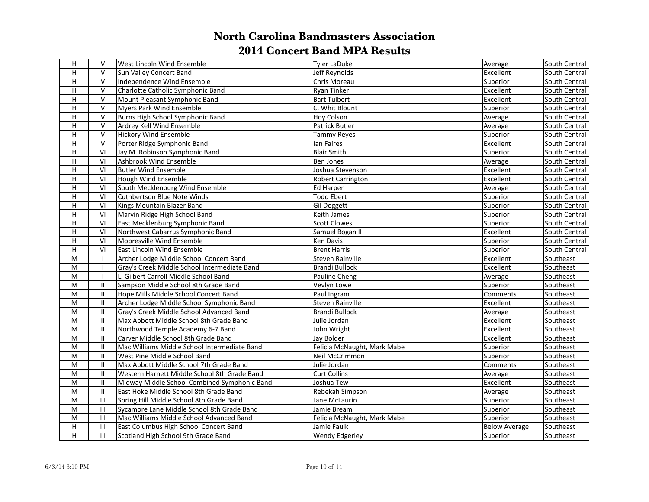| Н              | V                          | <b>West Lincoln Wind Ensemble</b>            | Tyler LaDuke                | Average              | South Central |
|----------------|----------------------------|----------------------------------------------|-----------------------------|----------------------|---------------|
| Н              | $\vee$                     | Sun Valley Concert Band                      | Jeff Reynolds               | Excellent            | South Central |
| $\overline{H}$ | $\vee$                     | Independence Wind Ensemble                   | Chris Moreau                | Superior             | South Central |
| H              | $\vee$                     | Charlotte Catholic Symphonic Band            | <b>Ryan Tinker</b>          | Excellent            | South Central |
| H              | $\vee$                     | Mount Pleasant Symphonic Band                | <b>Bart Tulbert</b>         | Excellent            | South Central |
| H              | $\mathsf{V}$               | Myers Park Wind Ensemble                     | C. Whit Blount              | Superior             | South Central |
| H              | $\mathsf{V}$               | Burns High School Symphonic Band             | Hoy Colson                  | Average              | South Central |
| Н              | $\vee$                     | Ardrey Kell Wind Ensemble                    | <b>Patrick Butler</b>       | Average              | South Central |
| H              | $\mathsf{V}$               | <b>Hickory Wind Ensemble</b>                 | Tammy Reyes                 | Superior             | South Central |
| H              | $\mathsf{V}$               | Porter Ridge Symphonic Band                  | lan Faires                  | Excellent            | South Central |
| Н              | VI                         | Jay M. Robinson Symphonic Band               | <b>Blair Smith</b>          | Superior             | South Central |
| H              | VI                         | Ashbrook Wind Ensemble                       | <b>Ben Jones</b>            | Average              | South Central |
| $\overline{H}$ | $\overline{VI}$            | <b>Butler Wind Ensemble</b>                  | Joshua Stevenson            | Excellent            | South Central |
| H              | VI                         | Hough Wind Ensemble                          | <b>Robert Carrington</b>    | Excellent            | South Central |
| H              | VI                         | South Mecklenburg Wind Ensemble              | <b>Ed Harper</b>            | Average              | South Central |
| H              | VI                         | Cuthbertson Blue Note Winds                  | <b>Todd Ebert</b>           | Superior             | South Central |
| H              | VI                         | Kings Mountain Blazer Band                   | Gil Doggett                 | Superior             | South Central |
| H              | VI                         | Marvin Ridge High School Band                | <b>Keith James</b>          | Superior             | South Central |
| H              | VI                         | East Mecklenburg Symphonic Band              | <b>Scott Clowes</b>         | Superior             | South Central |
| H              | VI                         | Northwest Cabarrus Symphonic Band            | Samuel Bogan II             | Excellent            | South Central |
| H              | VI                         | Mooresville Wind Ensemble                    | Ken Davis                   | Superior             | South Central |
| H              | VI                         | <b>IEast Lincoln Wind Ensemble</b>           | <b>Brent Harris</b>         | Superior             | South Central |
| M              | $\mathbf{I}$               | Archer Lodge Middle School Concert Band      | Steven Rainville            | Excellent            | Southeast     |
| M              |                            | Gray's Creek Middle School Intermediate Band | <b>Brandi Bullock</b>       | Excellent            | Southeast     |
| M              | $\mathbf{I}$               | L. Gilbert Carroll Middle School Band        | Pauline Cheng               | Average              | Southeast     |
| ${\sf M}$      | $\mathbf{H}$               | Sampson Middle School 8th Grade Band         | Vevlyn Lowe                 | Superior             | Southeast     |
| ${\sf M}$      | $\mathbf{II}$              | Hope Mills Middle School Concert Band        | Paul Ingram                 | Comments             | Southeast     |
| M              | $\ensuremath{\mathsf{II}}$ | Archer Lodge Middle School Symphonic Band    | <b>Steven Rainville</b>     | Excellent            | Southeast     |
| M              | $\mathbf{II}$              | Gray's Creek Middle School Advanced Band     | <b>Brandi Bullock</b>       | Average              | Southeast     |
| ${\sf M}$      | Ш                          | Max Abbott Middle School 8th Grade Band      | Julie Jordan                | Excellent            | Southeast     |
| ${\sf M}$      | $\mathbf{II}$              | Northwood Temple Academy 6-7 Band            | John Wright                 | Excellent            | Southeast     |
| M              | $\mathbf{II}$              | Carver Middle School 8th Grade Band          | Jay Bolder                  | Excellent            | Southeast     |
| ${\sf M}$      | $\mathbf{II}$              | Mac Williams Middle School Intermediate Band | Felicia McNaught, Mark Mabe | Superior             | Southeast     |
| M              | $\mathbf{II}$              | West Pine Middle School Band                 | Neil McCrimmon              | Superior             | Southeast     |
| ${\sf M}$      | $\mathbf{H}$               | Max Abbott Middle School 7th Grade Band      | Julie Jordan                | Comments             | Southeast     |
| M              | $\mathbf{H}$               | Western Harnett Middle School 8th Grade Band | <b>Curt Collins</b>         | Average              | Southeast     |
| ${\sf M}$      | $\mathbf{H}$               | Midway Middle School Combined Symphonic Band | Joshua Tew                  | Excellent            | Southeast     |
| ${\sf M}$      | $\mathbf{H}$               | East Hoke Middle School 8th Grade Band       | Rebekah Simpson             | Average              | Southeast     |
| M              | Ш                          | Spring Hill Middle School 8th Grade Band     | Jane McLaurin               | Superior             | Southeast     |
| M              | $\mathbf{III}$             | Sycamore Lane Middle School 8th Grade Band   | Jamie Bream                 | Superior             | Southeast     |
| ${\sf M}$      | $\mathbf{III}$             | Mac Williams Middle School Advanced Band     | Felicia McNaught, Mark Mabe | Superior             | Southeast     |
| H              | $\mathbf{III}$             | East Columbus High School Concert Band       | Jamie Faulk                 | <b>Below Average</b> | Southeast     |
| H              | III                        | Scotland High School 9th Grade Band          | <b>Wendy Edgerley</b>       | <b>Superior</b>      | Southeast     |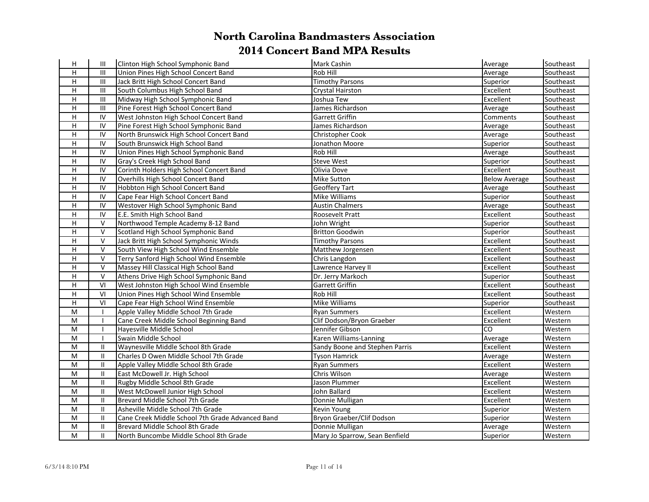| н              | $\mathop{\rm III}\nolimits$ | Clinton High School Symphonic Band               | Mark Cashin                    | Average              | Southeast |
|----------------|-----------------------------|--------------------------------------------------|--------------------------------|----------------------|-----------|
| H              | $\mathbf{III}$              | Union Pines High School Concert Band             | <b>Rob Hill</b>                | Average              | Southeast |
| H              | $\mathbf{III}$              | Jack Britt High School Concert Band              | <b>Timothy Parsons</b>         | Superior             | Southeast |
| H              | $\mathbf{III}$              | South Columbus High School Band                  | <b>Crystal Hairston</b>        | Excellent            | Southeast |
| H              | $\mathbf{III}$              | Midway High School Symphonic Band                | Joshua Tew                     | Excellent            | Southeast |
| H              | $\mathbf{III}$              | Pine Forest High School Concert Band             | James Richardson               | Average              | Southeast |
| H              | IV                          | West Johnston High School Concert Band           | Garrett Griffin                | Comments             | Southeast |
| $\mathsf H$    | IV                          | Pine Forest High School Symphonic Band           | James Richardson               | Average              | Southeast |
| $\mathsf H$    | IV                          | North Brunswick High School Concert Band         | Christopher Cook               | Average              | Southeast |
| H              | IV                          | South Brunswick High School Band                 | Jonathon Moore                 | Superior             | Southeast |
| н              | IV                          | Union Pines High School Symphonic Band           | Rob Hill                       | Average              | Southeast |
| $\overline{H}$ | IV                          | Gray's Creek High School Band                    | <b>Steve West</b>              | Superior             | Southeast |
| H              | $\overline{IV}$             | Corinth Holders High School Concert Band         | Olivia Dove                    | Excellent            | Southeast |
| H              | IV                          | Overhills High School Concert Band               | <b>Mike Sutton</b>             | <b>Below Average</b> | Southeast |
| H              | IV                          | Hobbton High School Concert Band                 | Geoffery Tart                  | Average              | Southeast |
| $\mathsf H$    | IV                          | Cape Fear High School Concert Band               | <b>Mike Williams</b>           | Superior             | Southeast |
| H              | IV                          | Westover High School Symphonic Band              | <b>Austin Chalmers</b>         | Average              | Southeast |
| H              | IV                          | E.E. Smith High School Band                      | Roosevelt Pratt                | Excellent            | Southeast |
| H              | V                           | Northwood Temple Academy 8-12 Band               | John Wright                    | Superior             | Southeast |
| H              | $\vee$                      | Scotland High School Symphonic Band              | <b>Britton Goodwin</b>         | Superior             | Southeast |
| H.             | $\vee$                      | Jack Britt High School Symphonic Winds           | <b>Timothy Parsons</b>         | Excellent            | Southeast |
| H              | $\vee$                      | South View High School Wind Ensemble             | Matthew Jorgensen              | Excellent            | Southeast |
| $\mathsf H$    | $\vee$                      | Terry Sanford High School Wind Ensemble          | Chris Langdon                  | Excellent            | Southeast |
| $\mathsf H$    | $\vee$                      | Massey Hill Classical High School Band           | Lawrence Harvey II             | Excellent            | Southeast |
| H              | $\vee$                      | Athens Drive High School Symphonic Band          | Dr. Jerry Markoch              | Superior             | Southeast |
| H              | VI                          | West Johnston High School Wind Ensemble          | Garrett Griffin                | Excellent            | Southeast |
| H              | VI                          | Union Pines High School Wind Ensemble            | Rob Hill                       | Excellent            | Southeast |
| $\mathsf H$    | VI                          | Cape Fear High School Wind Ensemble              | Mike Williams                  | Superior             | Southeast |
| M              | $\mathbf{I}$                | Apple Valley Middle School 7th Grade             | Ryan Summers                   | Excellent            | Western   |
| M              | $\mathbf{I}$                | Cane Creek Middle School Beginning Band          | Clif Dodson/Bryon Graeber      | Excellent            | Western   |
| M              | $\mathbf{I}$                | Hayesville Middle School                         | Jennifer Gibson                | lco                  | Western   |
| M              | $\mathbf{I}$                | Swain Middle School                              | Karen Williams-Lanning         | Average              | Western   |
| M              | $\mathbf{II}$               | Waynesville Middle School 8th Grade              | Sandy Boone and Stephen Parris | Excellent            | Western   |
| ${\sf M}$      | $\mathbf{II}$               | Charles D Owen Middle School 7th Grade           | <b>Tyson Hamrick</b>           | Average              | Western   |
| M              | Ш                           | Apple Valley Middle School 8th Grade             | <b>Ryan Summers</b>            | Excellent            | Western   |
| M              | $\mathbf{I}$                | East McDowell Jr. High School                    | Chris Wilson                   | Average              | Western   |
| M              | $\mathbf{II}$               | Rugby Middle School 8th Grade                    | Jason Plummer                  | Excellent            | Western   |
| M              | $\mathbf{II}$               | West McDowell Junior High School                 | John Ballard                   | Excellent            | Western   |
| M              | $\mathbf{II}$               | Brevard Middle School 7th Grade                  | Donnie Mulligan                | Excellent            | Western   |
| M              | $\mathbf{II}$               | Asheville Middle School 7th Grade                | <b>Kevin Young</b>             | Superior             | Western   |
| M              | $\mathbf{II}$               | Cane Creek Middle School 7th Grade Advanced Band | Bryon Graeber/Clif Dodson      | Superior             | Western   |
| M              | $\mathbf{II}$               | Brevard Middle School 8th Grade                  | Donnie Mulligan                | Average              | Western   |
| M              | $\mathbf{II}$               | lNorth Buncombe Middle School 8th Grade          | Mary Jo Sparrow, Sean Benfield | Superior             | Western   |